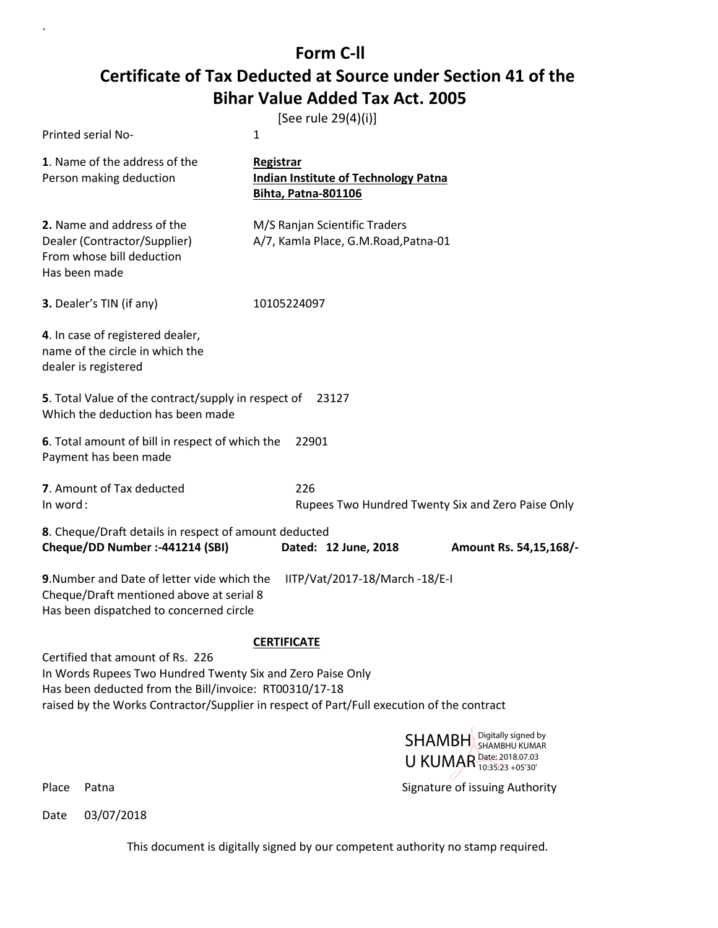## **Form C-ll Certificate of Tax Deducted at Source under Section 41 of the Bihar Value Added Tax Act. 2005**

|                                                                                                                                    | [See rule 29(4)(i)]                                                                    |
|------------------------------------------------------------------------------------------------------------------------------------|----------------------------------------------------------------------------------------|
| Printed serial No-                                                                                                                 | 1                                                                                      |
| 1. Name of the address of the<br>Person making deduction                                                                           | Registrar<br><b>Indian Institute of Technology Patna</b><br><b>Bihta, Patna-801106</b> |
| 2. Name and address of the<br>Dealer (Contractor/Supplier)<br>From whose bill deduction<br>Has been made                           | M/S Ranjan Scientific Traders<br>A/7, Kamla Place, G.M.Road, Patna-01                  |
| 3. Dealer's TIN (if any)                                                                                                           | 10105224097                                                                            |
| 4. In case of registered dealer,<br>name of the circle in which the<br>dealer is registered                                        |                                                                                        |
| 5. Total Value of the contract/supply in respect of<br>Which the deduction has been made                                           | 23127                                                                                  |
| 6. Total amount of bill in respect of which the<br>Payment has been made                                                           | 22901                                                                                  |
| 7. Amount of Tax deducted<br>In word:                                                                                              | 226<br>Rupees Two Hundred Twenty Six and Zero Paise Only                               |
| 8. Cheque/Draft details in respect of amount deducted<br>Cheque/DD Number :- 441214 (SBI)                                          | Dated: 12 June, 2018<br>Amount Rs. 54,15,168/-                                         |
| 9. Number and Date of letter vide which the<br>Cheque/Draft mentioned above at serial 8<br>Has been dispatched to concerned circle | IITP/Vat/2017-18/March -18/E-I                                                         |
|                                                                                                                                    | <b>CERTIFICATE</b>                                                                     |
| Certified that amount of Rs. 226<br>In Words Rupees Two Hundred Twenty Six and Zero Paise Only                                     |                                                                                        |



Place Patna **Property** Place Patna Signature of issuing Authority

`

Date 03/07/2018

Has been deducted from the Bill/invoice: RT00310/17-18

raised by the Works Contractor/Supplier in respect of Part/Full execution of the contract

This document is digitally signed by our competent authority no stamp required.